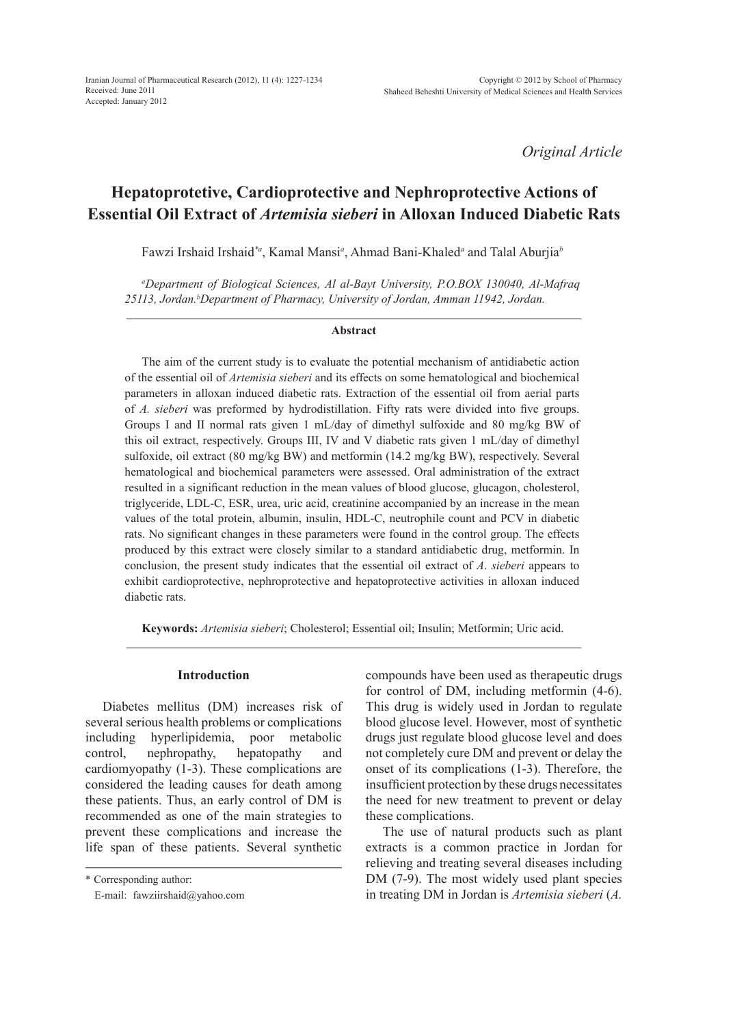*Original Article*

# **Hepatoprotetive, Cardioprotective and Nephroprotective Actions of Essential Oil Extract of** *Artemisia sieberi* **in Alloxan Induced Diabetic Rats**

Fawzi Irshaid Irshaid*\*a*, Kamal Mansi*<sup>a</sup>* , Ahmad Bani-Khaled*<sup>a</sup>* and Talal Aburjia*<sup>b</sup>*

*a Department of Biological Sciences, Al al-Bayt University, P.O.BOX 130040, Al-Mafraq*  25113, Jordan.<sup>b</sup>Department of Pharmacy, University of Jordan, Amman 11942, Jordan.

#### **Abstract**

The aim of the current study is to evaluate the potential mechanism of antidiabetic action of the essential oil of *Artemisia sieberi* and its effects on some hematological and biochemical parameters in alloxan induced diabetic rats. Extraction of the essential oil from aerial parts of *A. sieberi* was preformed by hydrodistillation. Fifty rats were divided into five groups. Groups I and II normal rats given 1 mL/day of dimethyl sulfoxide and 80 mg/kg BW of this oil extract, respectively. Groups III, IV and V diabetic rats given 1 mL/day of dimethyl sulfoxide, oil extract (80 mg/kg BW) and metformin (14.2 mg/kg BW), respectively. Several hematological and biochemical parameters were assessed. Oral administration of the extract resulted in a significant reduction in the mean values of blood glucose, glucagon, cholesterol, triglyceride, LDL-C, ESR, urea, uric acid, creatinine accompanied by an increase in the mean values of the total protein, albumin, insulin, HDL-C, neutrophile count and PCV in diabetic rats. No significant changes in these parameters were found in the control group. The effects produced by this extract were closely similar to a standard antidiabetic drug, metformin. In conclusion, the present study indicates that the essential oil extract of *A*. *sieberi* appears to exhibit cardioprotective, nephroprotective and hepatoprotective activities in alloxan induced diabetic rats.

**Keywords:** *Artemisia sieberi*; Cholesterol; Essential oil; Insulin; Metformin; Uric acid.

#### **Introduction**

Diabetes mellitus (DM) increases risk of several serious health problems or complications including hyperlipidemia, poor metabolic control, nephropathy, hepatopathy and cardiomyopathy (1-3). These complications are considered the leading causes for death among these patients. Thus, an early control of DM is recommended as one of the main strategies to prevent these complications and increase the life span of these patients. Several synthetic

\* Corresponding author:

E-mail: fawziirshaid@yahoo.com

compounds have been used as therapeutic drugs for control of DM, including metformin (4-6). This drug is widely used in Jordan to regulate blood glucose level. However, most of synthetic drugs just regulate blood glucose level and does not completely cure DM and prevent or delay the onset of its complications (1-3). Therefore, the insufficient protection by these drugs necessitates the need for new treatment to prevent or delay these complications.

The use of natural products such as plant extracts is a common practice in Jordan for relieving and treating several diseases including DM (7-9). The most widely used plant species in treating DM in Jordan is *Artemisia sieberi* (*A.*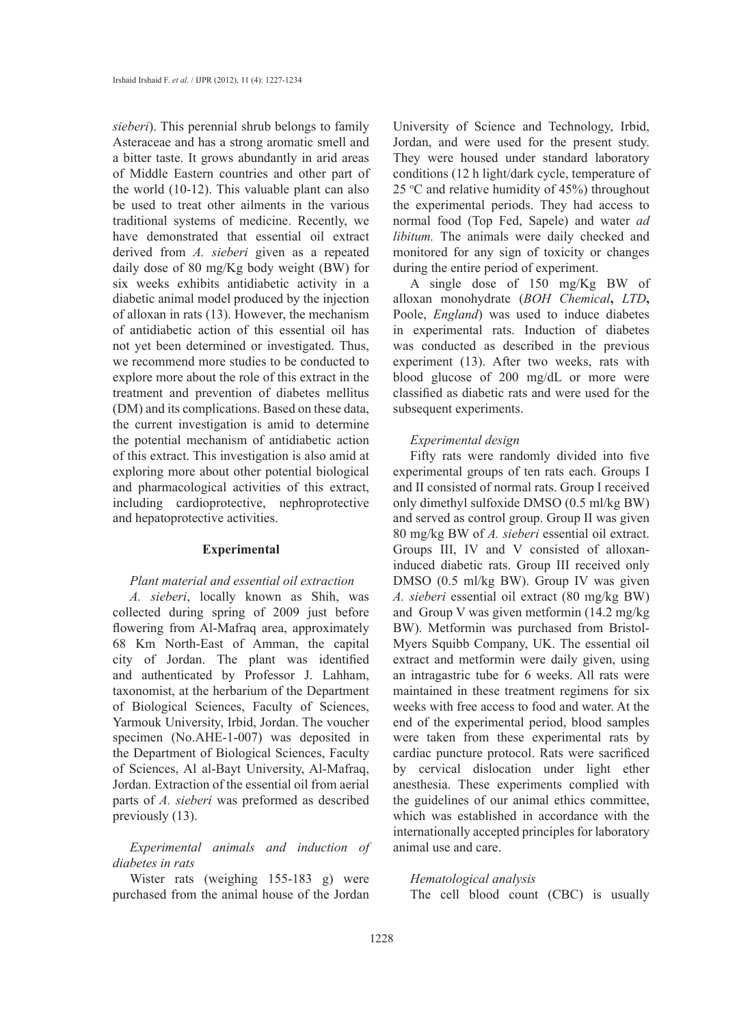*sieberi*). This perennial shrub belongs to family Asteraceae and has a strong aromatic smell and a bitter taste. It grows abundantly in arid areas of Middle Eastern countries and other part of the world (10-12). This valuable plant can also be used to treat other ailments in the various traditional systems of medicine. Recently, we have demonstrated that essential oil extract derived from *A. sieberi* given as a repeated daily dose of 80 mg/Kg body weight (BW) for six weeks exhibits antidiabetic activity in a diabetic animal model produced by the injection of alloxan in rats (13). However, the mechanism of antidiabetic action of this essential oil has not yet been determined or investigated. Thus, we recommend more studies to be conducted to explore more about the role of this extract in the treatment and prevention of diabetes mellitus (DM) and its complications. Based on these data, the current investigation is amid to determine the potential mechanism of antidiabetic action of this extract. This investigation is also amid at exploring more about other potential biological and pharmacological activities of this extract, including cardioprotective, nephroprotective and hepatoprotective activities.

#### **Experimental**

## *Plant material and essential oil extraction*

*A. sieberi*, locally known as Shih, was collected during spring of 2009 just before flowering from Al-Mafraq area, approximately 68 Km North-East of Amman, the capital city of Jordan. The plant was identified and authenticated by Professor J. Lahham, taxonomist, at the herbarium of the Department of Biological Sciences, Faculty of Sciences, Yarmouk University, Irbid, Jordan. The voucher specimen (No.AHE-1-007) was deposited in the Department of Biological Sciences, Faculty of Sciences, Al al-Bayt University, Al-Mafraq, Jordan. Extraction of the essential oil from aerial parts of *A. sieberi* was preformed as described previously (13).

# *Experimental animals and induction of diabetes in rats*

Wister rats (weighing 155-183 g) were purchased from the animal house of the Jordan University of Science and Technology, Irbid, Jordan, and were used for the present study. They were housed under standard laboratory conditions (12 h light/dark cycle, temperature of 25  $\degree$ C and relative humidity of 45%) throughout the experimental periods. They had access to normal food (Top Fed, Sapele) and water *ad libitum.* The animals were daily checked and monitored for any sign of toxicity or changes during the entire period of experiment.

A single dose of 150 mg/Kg BW of alloxan monohydrate (*BOH Chemical***,** *LTD***,** Poole, *England*) was used to induce diabetes in experimental rats. Induction of diabetes was conducted as described in the previous experiment (13). After two weeks, rats with blood glucose of 200 mg/dL or more were classified as diabetic rats and were used for the subsequent experiments.

#### *Experimental design*

Fifty rats were randomly divided into five experimental groups of ten rats each. Groups I and II consisted of normal rats. Group I received only dimethyl sulfoxide DMSO (0.5 ml/kg BW) and served as control group. Group II was given 80 mg/kg BW of *A. sieberi* essential oil extract. Groups III, IV and V consisted of alloxaninduced diabetic rats. Group III received only DMSO (0.5 ml/kg BW). Group IV was given *A. sieberi* essential oil extract (80 mg/kg BW) and Group V was given metformin (14.2 mg/kg BW). Metformin was purchased from Bristol-Myers Squibb Company, UK. The essential oil extract and metformin were daily given, using an intragastric tube for 6 weeks. All rats were maintained in these treatment regimens for six weeks with free access to food and water. At the end of the experimental period, blood samples were taken from these experimental rats by cardiac puncture protocol. Rats were sacrificed by cervical dislocation under light ether anesthesia. These experiments complied with the guidelines of our animal ethics committee, which was established in accordance with the internationally accepted principles for laboratory animal use and care.

### *Hematological analysis*

The cell blood count (CBC) is usually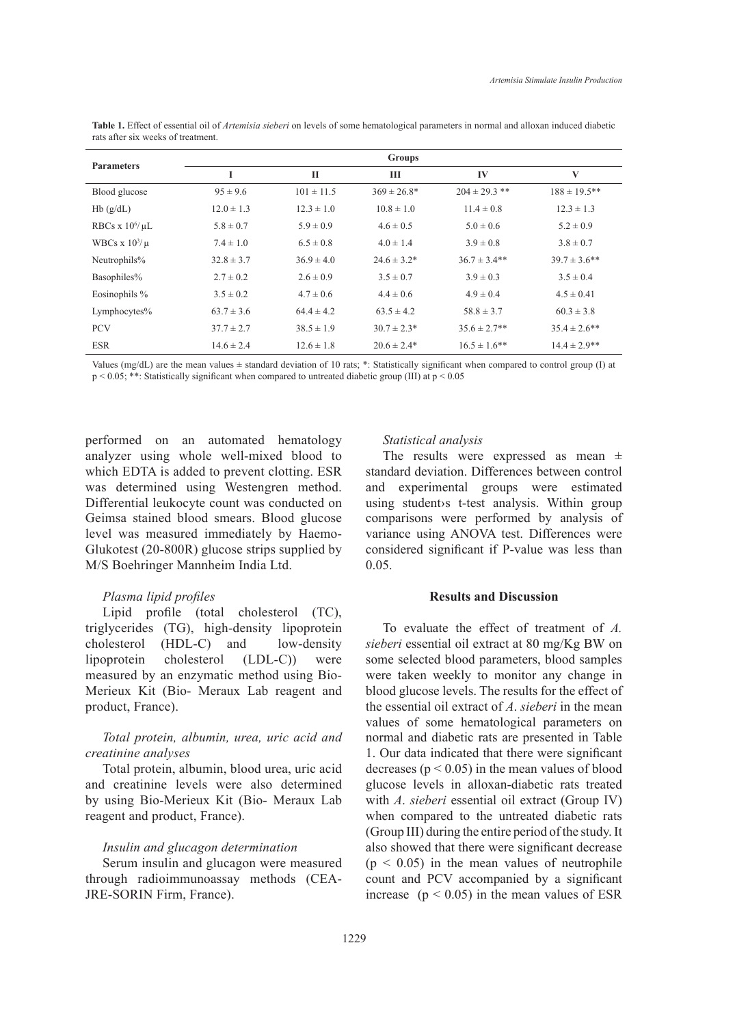| <b>Parameters</b>   | <b>Groups</b>  |                |                  |                   |                   |
|---------------------|----------------|----------------|------------------|-------------------|-------------------|
|                     | I              | П              | Ш                | IV                | V                 |
| Blood glucose       | $95 \pm 9.6$   | $101 \pm 11.5$ | $369 \pm 26.8^*$ | $204 \pm 29.3$ ** | $188 \pm 19.5$ ** |
| Hb(g/dL)            | $12.0 \pm 1.3$ | $12.3 \pm 1.0$ | $10.8 \pm 1.0$   | $11.4 \pm 0.8$    | $12.3 \pm 1.3$    |
| RBCs x $10^6/\mu L$ | $5.8 \pm 0.7$  | $5.9 \pm 0.9$  | $4.6 \pm 0.5$    | $5.0 \pm 0.6$     | $5.2 \pm 0.9$     |
| WBCs $x 10^3/\mu$   | $7.4 \pm 1.0$  | $6.5 \pm 0.8$  | $4.0 \pm 1.4$    | $3.9 \pm 0.8$     | $3.8 \pm 0.7$     |
| Neutrophils%        | $32.8 \pm 3.7$ | $36.9 \pm 4.0$ | $24.6 \pm 3.2^*$ | $36.7 \pm 3.4**$  | $39.7 \pm 3.6$ ** |
| Basophiles%         | $2.7 \pm 0.2$  | $2.6 \pm 0.9$  | $3.5 \pm 0.7$    | $3.9 \pm 0.3$     | $3.5 \pm 0.4$     |
| Eosinophils %       | $3.5 \pm 0.2$  | $4.7 \pm 0.6$  | $4.4 \pm 0.6$    | $4.9 \pm 0.4$     | $4.5 \pm 0.41$    |
| Lymphocytes%        | $63.7 \pm 3.6$ | $64.4 \pm 4.2$ | $63.5 \pm 4.2$   | $58.8 \pm 3.7$    | $60.3 \pm 3.8$    |
| <b>PCV</b>          | $37.7 \pm 2.7$ | $38.5 \pm 1.9$ | $30.7 \pm 2.3*$  | $35.6 \pm 2.7$ ** | $35.4 \pm 2.6$ ** |
| <b>ESR</b>          | $14.6 \pm 2.4$ | $12.6 \pm 1.8$ | $20.6 \pm 2.4*$  | $16.5 \pm 1.6$ ** | $14.4 \pm 2.9$ ** |

**Table 1.** Effect of essential oil of *Artemisia sieberi* on levels of some hematological parameters in normal and alloxan induced diabetic rats after six weeks of treatment.

Values (mg/dL) are the mean values ± standard deviation of 10 rats; \*: Statistically significant when compared to control group (I) at p < 0.05; \*\*: Statistically significant when compared to untreated diabetic group (III) at p < 0.05

performed on an automated hematology analyzer using whole well-mixed blood to which EDTA is added to prevent clotting. ESR was determined using Westengren method. Differential leukocyte count was conducted on Geimsa stained blood smears. Blood glucose level was measured immediately by Haemo-Glukotest (20-800R) glucose strips supplied by M/S Boehringer Mannheim India Ltd.

## *Plasma lipid profiles*

Lipid profile (total cholesterol (TC), triglycerides (TG), high-density lipoprotein cholesterol (HDL-C) and low-density lipoprotein cholesterol (LDL-C)) were measured by an enzymatic method using Bio-Merieux Kit (Bio- Meraux Lab reagent and product, France).

# *Total protein, albumin, urea, uric acid and creatinine analyses*

Total protein, albumin, blood urea, uric acid and creatinine levels were also determined by using Bio-Merieux Kit (Bio- Meraux Lab reagent and product, France).

## *Insulin and glucagon determination*

Serum insulin and glucagon were measured through radioimmunoassay methods (CEA-JRE-SORIN Firm, France).

## *Statistical analysis*

The results were expressed as mean  $\pm$ standard deviation. Differences between control and experimental groups were estimated using student›s t-test analysis. Within group comparisons were performed by analysis of variance using ANOVA test. Differences were considered significant if P-value was less than 0.05.

## **Results and Discussion**

To evaluate the effect of treatment of *A. sieberi* essential oil extract at 80 mg/Kg BW on some selected blood parameters, blood samples were taken weekly to monitor any change in blood glucose levels. The results for the effect of the essential oil extract of *A*. *sieberi* in the mean values of some hematological parameters on normal and diabetic rats are presented in Table 1. Our data indicated that there were significant decreases ( $p < 0.05$ ) in the mean values of blood glucose levels in alloxan-diabetic rats treated with *A*. *sieberi* essential oil extract (Group IV) when compared to the untreated diabetic rats (Group III) during the entire period of the study.It also showed that there were significant decrease  $(p < 0.05)$  in the mean values of neutrophile count and PCV accompanied by a significant increase  $(p < 0.05)$  in the mean values of ESR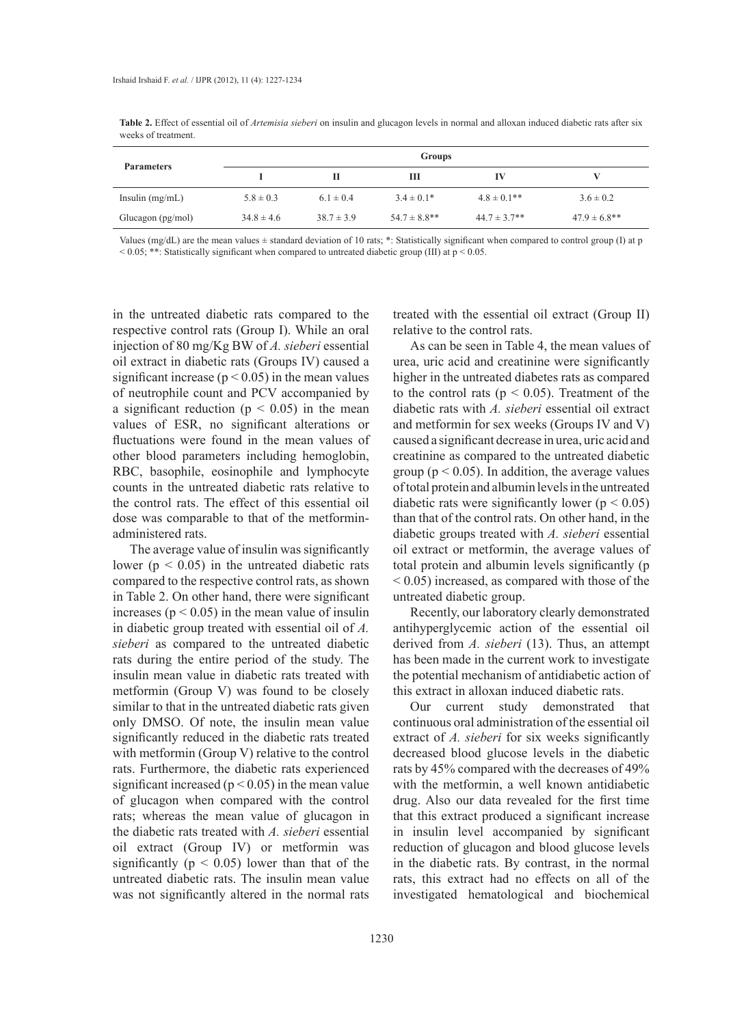**Table 2.** Effect of essential oil of *Artemisia sieberi* on insulin and glucagon levels in normal and alloxan induced diabetic rats after six weeks of treatment.

| <b>Parameters</b> | Groups         |                |                   |                  |                   |
|-------------------|----------------|----------------|-------------------|------------------|-------------------|
|                   |                |                | ш                 | IV               |                   |
| Insulin $(mg/mL)$ | $5.8 \pm 0.3$  | $6.1 \pm 0.4$  | $3.4 \pm 0.1*$    | $4.8 \pm 0.1$ ** | $3.6 \pm 0.2$     |
| Glucagon (pg/mol) | $34.8 \pm 4.6$ | $38.7 \pm 3.9$ | $54.7 \pm 8.8$ ** | $44.7 \pm 3.7**$ | $47.9 \pm 6.8$ ** |

Values (mg/dL) are the mean values  $\pm$  standard deviation of 10 rats; \*: Statistically significant when compared to control group (I) at p  $< 0.05$ ; \*\*: Statistically significant when compared to untreated diabetic group (III) at  $p < 0.05$ .

in the untreated diabetic rats compared to the respective control rats (Group I). While an oral injection of 80 mg/Kg BW of *A. sieberi* essential oil extract in diabetic rats (Groups IV) caused a significant increase ( $p < 0.05$ ) in the mean values of neutrophile count and PCV accompanied by a significant reduction ( $p < 0.05$ ) in the mean values of ESR, no significant alterations or fluctuations were found in the mean values of other blood parameters including hemoglobin, RBC, basophile, eosinophile and lymphocyte counts in the untreated diabetic rats relative to the control rats. The effect of this essential oil dose was comparable to that of the metforminadministered rats.

The average value of insulin was significantly lower ( $p < 0.05$ ) in the untreated diabetic rats compared to the respective control rats, as shown in Table 2. On other hand, there were significant increases ( $p < 0.05$ ) in the mean value of insulin in diabetic group treated with essential oil of *A. sieberi* as compared to the untreated diabetic rats during the entire period of the study. The insulin mean value in diabetic rats treated with metformin (Group V) was found to be closely similar to that in the untreated diabetic rats given only DMSO. Of note, the insulin mean value significantly reduced in the diabetic rats treated with metformin (Group V) relative to the control rats. Furthermore, the diabetic rats experienced significant increased ( $p < 0.05$ ) in the mean value of glucagon when compared with the control rats; whereas the mean value of glucagon in the diabetic rats treated with *A. sieberi* essential oil extract (Group IV) or metformin was significantly ( $p < 0.05$ ) lower than that of the untreated diabetic rats. The insulin mean value was not significantly altered in the normal rats

treated with the essential oil extract (Group II) relative to the control rats.

As can be seen in Table 4, the mean values of urea, uric acid and creatinine were significantly higher in the untreated diabetes rats as compared to the control rats ( $p < 0.05$ ). Treatment of the diabetic rats with *A. sieberi* essential oil extract and metformin for sex weeks (Groups IV and V) caused a significant decrease in urea, uric acid and creatinine as compared to the untreated diabetic group ( $p < 0.05$ ). In addition, the average values of total protein and albumin levels in the untreated diabetic rats were significantly lower ( $p < 0.05$ ) than that of the control rats. On other hand, in the diabetic groups treated with *A. sieberi* essential oil extract or metformin, the average values of total protein and albumin levels significantly (p < 0.05) increased, as compared with those of the untreated diabetic group.

Recently, our laboratory clearly demonstrated antihyperglycemic action of the essential oil derived from *A. sieberi* (13). Thus, an attempt has been made in the current work to investigate the potential mechanism of antidiabetic action of this extract in alloxan induced diabetic rats.

Our current study demonstrated that continuous oral administration of the essential oil extract of *A. sieberi* for six weeks significantly decreased blood glucose levels in the diabetic rats by 45% compared with the decreases of 49% with the metformin, a well known antidiabetic drug. Also our data revealed for the first time that this extract produced a significant increase in insulin level accompanied by significant reduction of glucagon and blood glucose levels in the diabetic rats. By contrast, in the normal rats, this extract had no effects on all of the investigated hematological and biochemical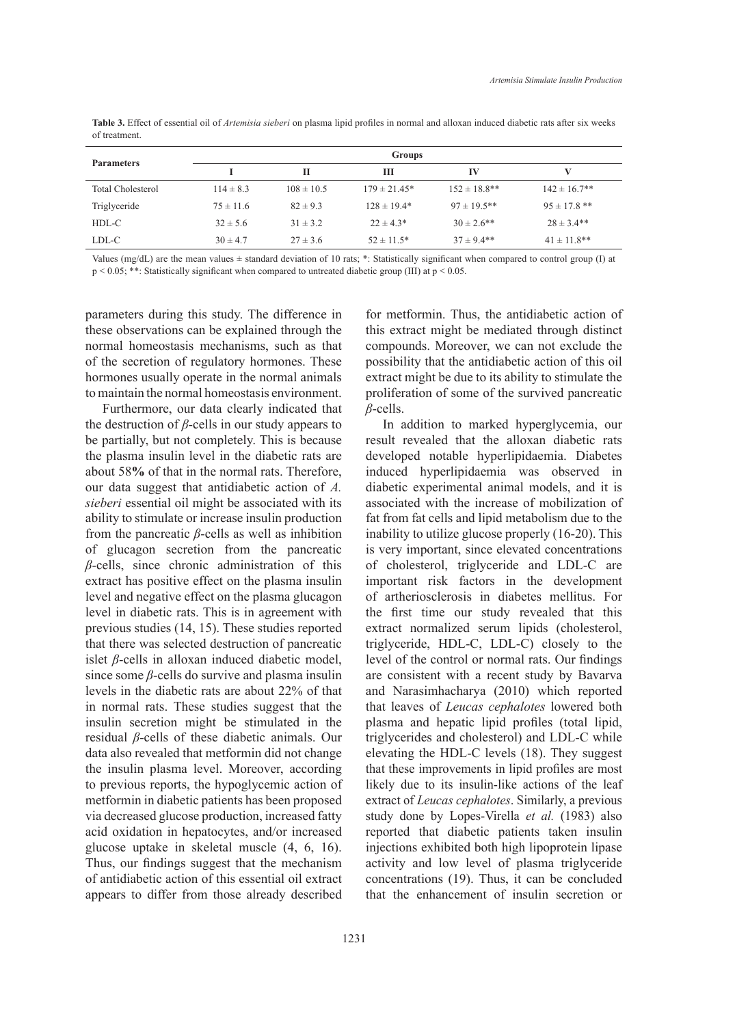**Table 3.** Effect of essential oil of *Artemisia sieberi* on plasma lipid profiles in normal and alloxan induced diabetic rats after six weeks of treatment.

| <b>Parameters</b> | Groups        |                |                  |                   |                   |
|-------------------|---------------|----------------|------------------|-------------------|-------------------|
|                   |               | п              | ш                | IV                |                   |
| Total Cholesterol | $114 \pm 8.3$ | $108 \pm 10.5$ | $179 \pm 21.45*$ | $152 \pm 18.8$ ** | $142 \pm 16.7$ ** |
| Triglyceride      | $75 \pm 11.6$ | $82 \pm 9.3$   | $128 \pm 19.4*$  | $97 \pm 19.5$ **  | $95 \pm 17.8$ **  |
| HDL-C             | $32 \pm 5.6$  | $31 \pm 3.2$   | $22 \pm 4.3*$    | $30 \pm 2.6$ **   | $28 \pm 3.4$ **   |
| LDL-C             | $30 \pm 4.7$  | $27 \pm 3.6$   | $52 \pm 11.5^*$  | $37 \pm 9.4**$    | $41 \pm 11.8$ **  |

Values (mg/dL) are the mean values ± standard deviation of 10 rats; \*: Statistically significant when compared to control group (I) at  $p < 0.05$ ; \*\*: Statistically significant when compared to untreated diabetic group (III) at  $p < 0.05$ .

parameters during this study. The difference in these observations can be explained through the normal homeostasis mechanisms, such as that of the secretion of regulatory hormones. These hormones usually operate in the normal animals to maintain the normal homeostasis environment.

Furthermore, our data clearly indicated that the destruction of *β*-cells in our study appears to be partially, but not completely. This is because the plasma insulin level in the diabetic rats are about 58**%** of that in the normal rats. Therefore, our data suggest that antidiabetic action of *A. sieberi* essential oil might be associated with its ability to stimulate or increase insulin production from the pancreatic *β*-cells as well as inhibition of glucagon secretion from the pancreatic *β*-cells, since chronic administration of this extract has positive effect on the plasma insulin level and negative effect on the plasma glucagon level in diabetic rats. This is in agreement with previous studies (14, 15). These studies reported that there was selected destruction of pancreatic islet *β*-cells in alloxan induced diabetic model, since some *β*-cells do survive and plasma insulin levels in the diabetic rats are about 22% of that in normal rats. These studies suggest that the insulin secretion might be stimulated in the residual *β*-cells of these diabetic animals. Our data also revealed that metformin did not change the insulin plasma level. Moreover, according to previous reports, the hypoglycemic action of metformin in diabetic patients has been proposed via decreased glucose production, increased fatty acid oxidation in hepatocytes, and/or increased glucose uptake in skeletal muscle (4, 6, 16). Thus, our findings suggest that the mechanism of antidiabetic action of this essential oil extract appears to differ from those already described

for metformin. Thus, the antidiabetic action of this extract might be mediated through distinct compounds. Moreover, we can not exclude the possibility that the antidiabetic action of this oil extract might be due to its ability to stimulate the proliferation of some of the survived pancreatic *β*-cells. In addition to marked hyperglycemia, our

result revealed that the alloxan diabetic rats developed notable hyperlipidaemia. Diabetes induced hyperlipidaemia was observed in diabetic experimental animal models, and it is associated with the increase of mobilization of fat from fat cells and lipid metabolism due to the inability to utilize glucose properly (16-20). This is very important, since elevated concentrations of cholesterol, triglyceride and LDL-C are important risk factors in the development of artheriosclerosis in diabetes mellitus. For the first time our study revealed that this extract normalized serum lipids (cholesterol, triglyceride, HDL-C, LDL-C) closely to the level of the control or normal rats. Our findings are consistent with a recent study by Bavarva and Narasimhacharya (2010) which reported that leaves of *Leucas cephalotes* lowered both plasma and hepatic lipid profiles (total lipid, triglycerides and cholesterol) and LDL-C while elevating the HDL-C levels (18). They suggest that these improvements in lipid profiles are most likely due to its insulin-like actions of the leaf extract of *Leucas cephalotes*. Similarly, a previous study done by Lopes-Virella *et al.* (1983) also reported that diabetic patients taken insulin injections exhibited both high lipoprotein lipase activity and low level of plasma triglyceride concentrations (19). Thus, it can be concluded that the enhancement of insulin secretion or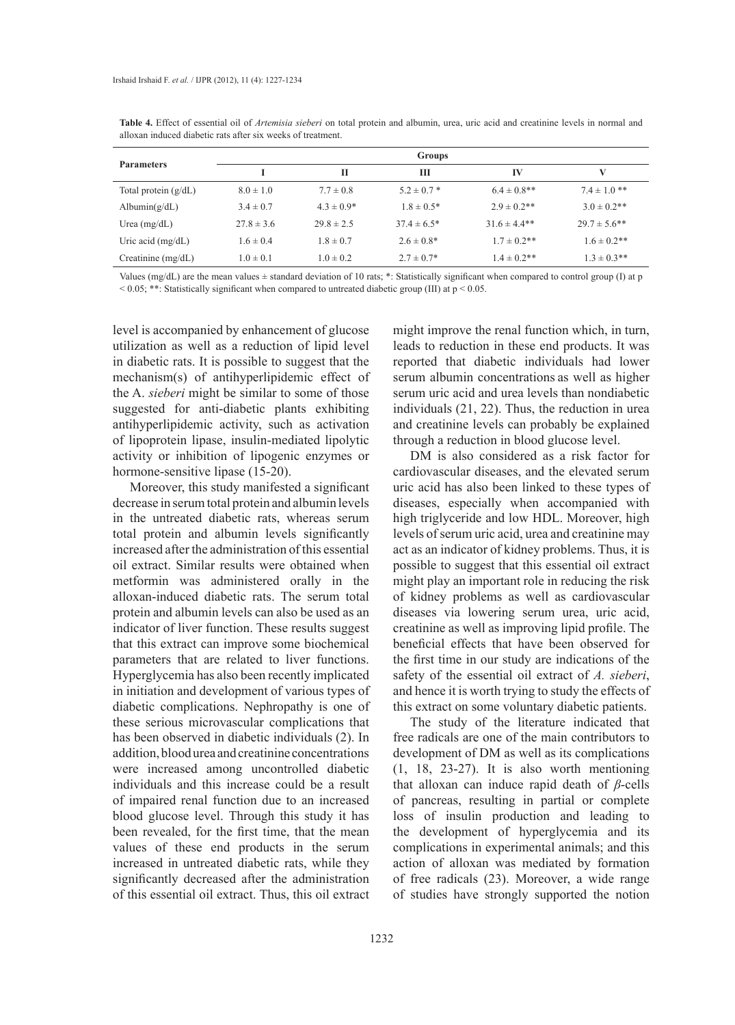| <b>Parameters</b>      | <b>Groups</b>  |                |                  |                  |                   |
|------------------------|----------------|----------------|------------------|------------------|-------------------|
|                        |                | П              | Ш                | IV               | V                 |
| Total protein $(g/dL)$ | $8.0 \pm 1.0$  | $7.7 \pm 0.8$  | $5.2 \pm 0.7$ *  | $6.4 \pm 0.8$ ** | $7.4 \pm 1.0$ **  |
| Albumin $(g/dL)$       | $3.4 \pm 0.7$  | $4.3 \pm 0.9*$ | $1.8 \pm 0.5*$   | $2.9 \pm 0.2$ ** | $3.0 \pm 0.2$ **  |
| Urea $(mg/dL)$         | $27.8 \pm 3.6$ | $29.8 \pm 2.5$ | $37.4 \pm 6.5^*$ | $31.6 \pm 4.4**$ | $29.7 \pm 5.6$ ** |
| Uric acid $(mg/dL)$    | $1.6 \pm 0.4$  | $1.8 \pm 0.7$  | $2.6 \pm 0.8*$   | $1.7 \pm 0.2$ ** | $1.6 \pm 0.2$ **  |
| Creatinine $(mg/dL)$   | $1.0 \pm 0.1$  | $1.0 \pm 0.2$  | $2.7 \pm 0.7^*$  | $1.4 \pm 0.2$ ** | $1.3 \pm 0.3$ **  |

**Table 4.** Effect of essential oil of *Artemisia sieberi* on total protein and albumin, urea, uric acid and creatinine levels in normal and alloxan induced diabetic rats after six weeks of treatment.

Values (mg/dL) are the mean values  $\pm$  standard deviation of 10 rats; \*: Statistically significant when compared to control group (I) at p  $< 0.05$ ; \*\*: Statistically significant when compared to untreated diabetic group (III) at  $p < 0.05$ .

level is accompanied by enhancement of glucose utilization as well as a reduction of lipid level in diabetic rats. It is possible to suggest that the mechanism(s) of antihyperlipidemic effect of the A. *sieberi* might be similar to some of those suggested for anti-diabetic plants exhibiting antihyperlipidemic activity, such as activation of lipoprotein lipase, insulin-mediated lipolytic activity or inhibition of lipogenic enzymes or hormone-sensitive lipase (15-20).

Moreover, this study manifested a significant decrease in serum total protein and albumin levels in the untreated diabetic rats, whereas serum total protein and albumin levels significantly increased after the administration of this essential oil extract. Similar results were obtained when metformin was administered orally in the alloxan-induced diabetic rats. The serum total protein and albumin levels can also be used as an indicator of liver function. These results suggest that this extract can improve some biochemical parameters that are related to liver functions. Hyperglycemia has also been recently implicated in initiation and development of various types of diabetic complications. Nephropathy is one of these serious microvascular complications that has been observed in diabetic individuals (2). In addition, blood urea and creatinine concentrations were increased among uncontrolled diabetic individuals and this increase could be a result of impaired renal function due to an increased blood glucose level. Through this study it has been revealed, for the first time, that the mean values of these end products in the serum increased in untreated diabetic rats, while they significantly decreased after the administration of this essential oil extract. Thus, this oil extract

might improve the renal function which, in turn, leads to reduction in these end products. It was reported that diabetic individuals had lower serum albumin concentrations as well as higher serum uric acid and urea levels than nondiabetic individuals (21, 22). Thus, the reduction in urea and creatinine levels can probably be explained through a reduction in blood glucose level.

DM is also considered as a risk factor for cardiovascular diseases, and the elevated serum uric acid has also been linked to these types of diseases, especially when accompanied with high triglyceride and low HDL. Moreover, high levels of serum uric acid, urea and creatinine may act as an indicator of kidney problems. Thus, it is possible to suggest that this essential oil extract might play an important role in reducing the risk of kidney problems as well as cardiovascular diseases via lowering serum urea, uric acid, creatinine as well as improving lipid profile. The beneficial effects that have been observed for the first time in our study are indications of the safety of the essential oil extract of *A. sieberi*, and hence it is worth trying to study the effects of this extract on some voluntary diabetic patients.

The study of the literature indicated that free radicals are one of the main contributors to development of DM as well as its complications (1, 18, 23-27). It is also worth mentioning that alloxan can induce rapid death of *β*-cells of pancreas, resulting in partial or complete loss of insulin production and leading to the development of hyperglycemia and its complications in experimental animals; and this action of alloxan was mediated by formation of free radicals (23). Moreover, a wide range of studies have strongly supported the notion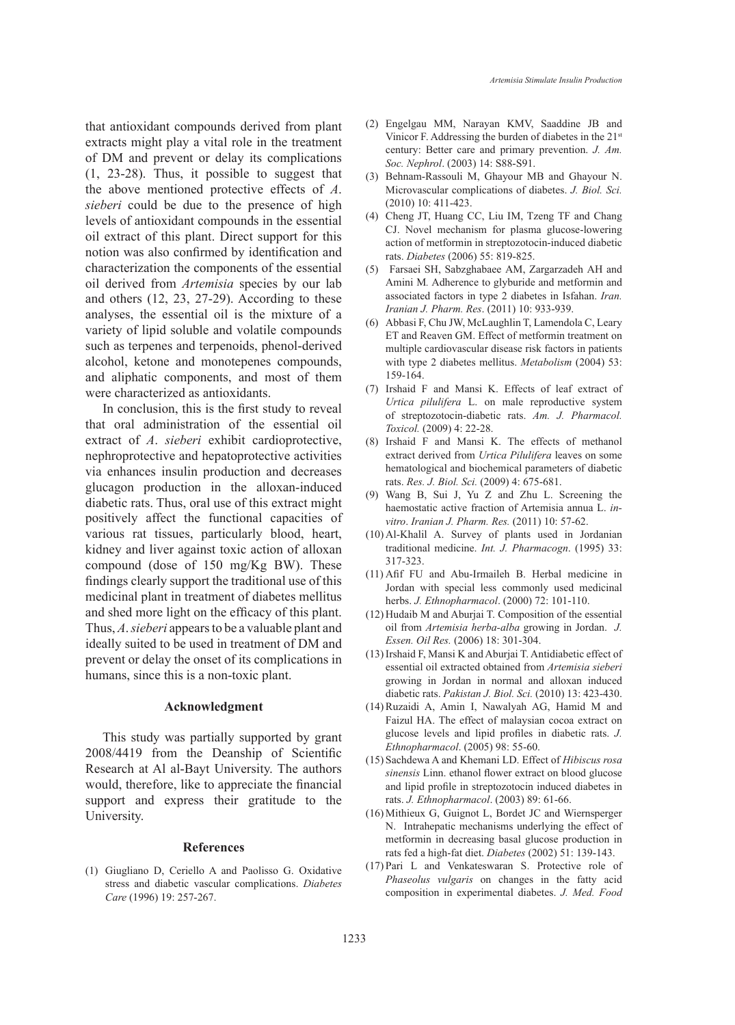that antioxidant compounds derived from plant extracts might play a vital role in the treatment of DM and prevent or delay its complications (1, 23-28). Thus, it possible to suggest that the above mentioned protective effects of *A*. *sieberi* could be due to the presence of high levels of antioxidant compounds in the essential oil extract of this plant. Direct support for this notion was also confirmed by identification and characterization the components of the essential oil derived from *Artemisia* species by our lab and others (12, 23, 27-29). According to these analyses, the essential oil is the mixture of a variety of lipid soluble and volatile compounds such as terpenes and terpenoids, phenol-derived alcohol, ketone and monotepenes compounds, and aliphatic components, and most of them were characterized as antioxidants.

In conclusion, this is the first study to reveal that oral administration of the essential oil extract of *A*. *sieberi* exhibit cardioprotective, nephroprotective and hepatoprotective activities via enhances insulin production and decreases glucagon production in the alloxan-induced diabetic rats. Thus, oral use of this extract might positively affect the functional capacities of various rat tissues, particularly blood, heart, kidney and liver against toxic action of alloxan compound (dose of 150 mg/Kg BW). These findings clearly support the traditional use of this medicinal plant in treatment of diabetes mellitus and shed more light on the efficacy of this plant. Thus, *A*. *sieberi* appears to be a valuable plant and ideally suited to be used in treatment of DM and prevent or delay the onset of its complications in humans, since this is a non-toxic plant.

## **Acknowledgment**

This study was partially supported by grant 2008/4419 from the Deanship of Scientific Research at Al al-Bayt University. The authors would, therefore, like to appreciate the financial support and express their gratitude to the University.

### **References**

(1) Giugliano D, Ceriello A and Paolisso G. Oxidative stress and diabetic vascular complications. *Diabetes Care* (1996) 19: 257-267.

- Engelgau MM, Narayan KMV, Saaddine JB and (2) Vinicor F. Addressing the burden of diabetes in the 21st century: Better care and primary prevention. *J. Am. Soc. Nephrol*. (2003) 14: S88-S91.
- (3) Behnam-Rassouli M, Ghayour MB and Ghayour N. Microvascular complications of diabetes. *J. Biol. Sci.* (2010) 10: 411-423.
- Cheng JT, Huang CC, Liu IM, Tzeng TF and Chang (4) CJ. Novel mechanism for plasma glucose-lowering action of metformin in streptozotocin-induced diabetic rats. *Diabetes* (2006) 55: 819-825.
- Farsaei SH, Sabzghabaee AM, Zargarzadeh AH and (5) Amini M*.* Adherence to glyburide and metformin and associated factors in type 2 diabetes in Isfahan. *Iran. Iranian J. Pharm. Res*. (2011) 10: 933-939.
- Abbasi F, Chu JW, McLaughlin T, Lamendola C, Leary (6) ET and Reaven GM. Effect of metformin treatment on multiple cardiovascular disease risk factors in patients with type 2 diabetes mellitus. *Metabolism* (2004) 53: 159-164.
- (7) Irshaid F and Mansi K. Effects of leaf extract of *Urtica pilulifera* L. on male reproductive system of streptozotocin-diabetic rats. *Am. J. Pharmacol. Toxicol.* (2009) 4: 22-28.
- $(8)$  Irshaid F and Mansi K. The effects of methanol extract derived from *Urtica Pilulifera* leaves on some hematological and biochemical parameters of diabetic rats. *Res. J. Biol. Sci.* (2009) 4: 675-681.
- Wang B, Sui J, Yu Z and Zhu L. Screening the (9) haemostatic active fraction of Artemisia annua L. *invitro*. *Iranian J. Pharm. Res.* (2011) 10: 57-62.
- $(10)$  Al-Khalil A. Survey of plants used in Jordanian traditional medicine. *Int. J. Pharmacogn*. (1995) 33: 317-323.
- $(11)$  Afif FU and Abu-Irmaileh B. Herbal medicine in Jordan with special less commonly used medicinal herbs. *J. Ethnopharmacol*. (2000) 72: 101-110.
- $(12)$  Hudaib M and Aburjai T. Composition of the essential oil from *Artemisia herba-alba* growing in Jordan. *J. Essen. Oil Res.* (2006) 18: 301-304.
- (13) Irshaid F, Mansi K and Aburjai T. Antidiabetic effect of essential oil extracted obtained from *Artemisia sieberi* growing in Jordan in normal and alloxan induced diabetic rats. *Pakistan J. Biol. Sci.* (2010) 13: 423-430.
- (14) Ruzaidi A, Amin I, Nawalyah AG, Hamid M and Faizul HA. The effect of malaysian cocoa extract on glucose levels and lipid profiles in diabetic rats. *J. Ethnopharmacol*. (2005) 98: 55-60.
- (15) Sachdewa A and Khemani LD. Effect of *Hibiscus rosa sinensis* Linn. ethanol flower extract on blood glucose and lipid profile in streptozotocin induced diabetes in rats. *J. Ethnopharmacol*. (2003) 89: 61-66.
- (16) Mithieux G, Guignot L, Bordet JC and Wiernsperger N. Intrahepatic mechanisms underlying the effect of metformin in decreasing basal glucose production in rats fed a high-fat diet. *Diabetes* (2002) 51: 139-143.
- $(17)$  Pari L and Venkateswaran S. Protective role of *Phaseolus vulgaris* on changes in the fatty acid composition in experimental diabetes. *J. Med. Food*